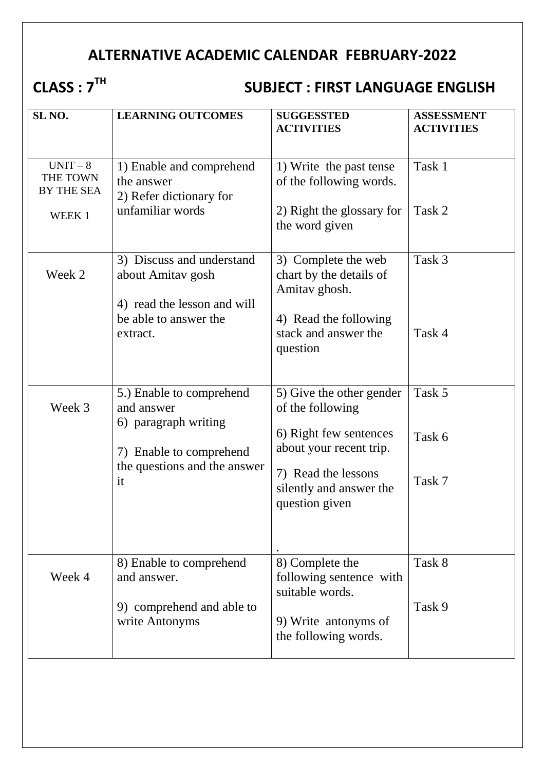# **ALTERNATIVE ACADEMIC CALENDAR FEBRUARY-2022**

# **CLASS : 7TH**

# **SUBJECT : FIRST LANGUAGE ENGLISH**

| SL <sub>NO</sub> .                                  | <b>LEARNING OUTCOMES</b>                                                                                                        | <b>SUGGESSTED</b><br><b>ACTIVITIES</b>                                                                                                                                | <b>ASSESSMENT</b><br><b>ACTIVITIES</b> |
|-----------------------------------------------------|---------------------------------------------------------------------------------------------------------------------------------|-----------------------------------------------------------------------------------------------------------------------------------------------------------------------|----------------------------------------|
| $UNIT-8$<br>THE TOWN<br><b>BY THE SEA</b><br>WEEK 1 | 1) Enable and comprehend<br>the answer<br>2) Refer dictionary for<br>unfamiliar words                                           | 1) Write the past tense<br>of the following words.<br>2) Right the glossary for<br>the word given                                                                     | Task 1<br>Task 2                       |
| Week 2                                              | 3) Discuss and understand<br>about Amitav gosh<br>4) read the lesson and will<br>be able to answer the<br>extract.              | 3) Complete the web<br>chart by the details of<br>Amitav ghosh.<br>4) Read the following<br>stack and answer the<br>question                                          | Task 3<br>Task 4                       |
| Week 3                                              | 5.) Enable to comprehend<br>and answer<br>6) paragraph writing<br>7) Enable to comprehend<br>the questions and the answer<br>it | 5) Give the other gender<br>of the following<br>6) Right few sentences<br>about your recent trip.<br>7) Read the lessons<br>silently and answer the<br>question given | Task 5<br>Task 6<br>Task 7             |
| Week 4                                              | 8) Enable to comprehend<br>and answer.<br>9) comprehend and able to<br>write Antonyms                                           | 8) Complete the<br>following sentence with<br>suitable words.<br>9) Write antonyms of<br>the following words.                                                         | Task 8<br>Task 9                       |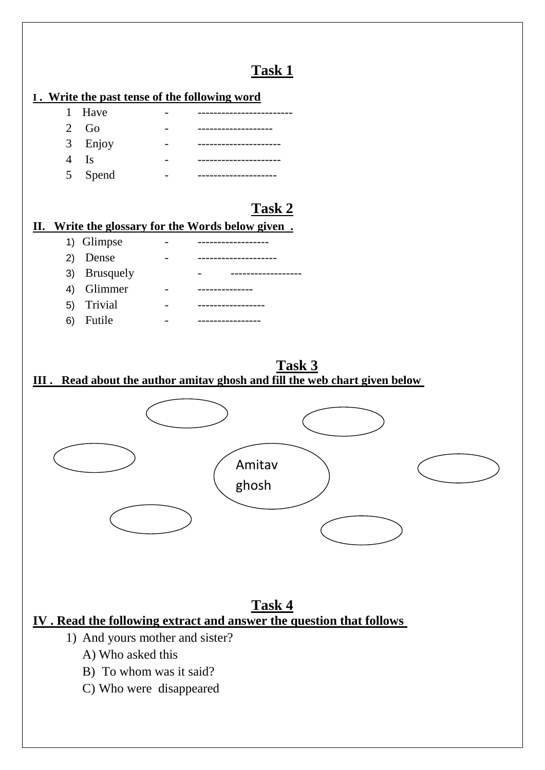## **Task 1**

## **I . Write the past tense of the following word**

| 1 Have        |  |
|---------------|--|
| 2 $Go$        |  |
| 3 Enjoy       |  |
| $4 \text{Is}$ |  |
| 5 Spend       |  |

## **Task 2**

#### **II. Write the glossary for the Words below given .**

|    | 1) Glimpse   |  |
|----|--------------|--|
|    | 2) Dense     |  |
|    | 3) Brusquely |  |
|    | 4) Glimmer   |  |
|    | 5) Trivial   |  |
| 6) | Futile       |  |

## **Task 3**

#### **III . Read about the author amitav ghosh and fill the web chart given below**



#### **Task 4 IV . Read the following extract and answer the question that follows**

- 1) And yours mother and sister?
	- A) Who asked this
	- B) To whom was it said?
	- C) Who were disappeared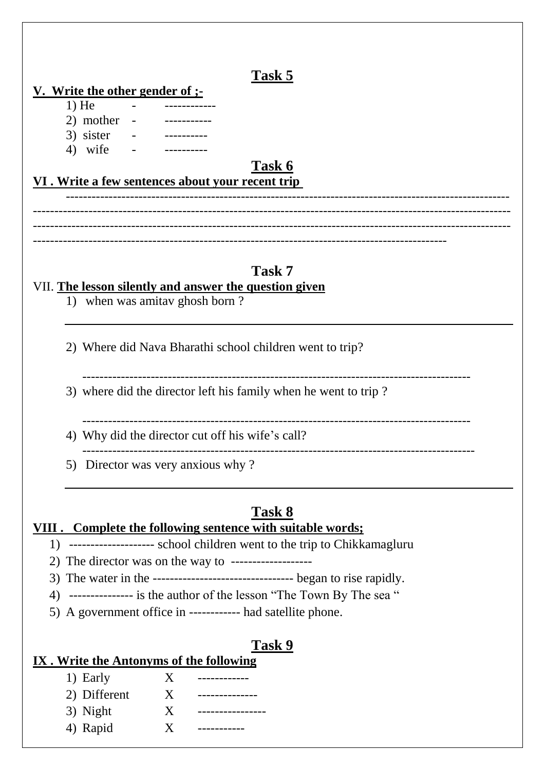## **Task 5**

#### **V. Write the other gender of ;-**

- $1)$  He  $2)$  mother
- 3) sister
- 4) wife

## **Task 6**

## **VI . Write a few sentences about your recent trip**

-------------------------------------------------------------------------------------------------------- ---------------------------------------------------------------------------------------------------------------- ---------------------------------------------------------------------------------------------------------------- -------------------------------------------------------------------------------------------------

## **Task 7**

#### VII. **The lesson silently and answer the question given**

1) when was amitav ghosh born ?

2) Where did Nava Bharathi school children went to trip?

-------------------------------------------------------------------------------------------

3) where did the director left his family when he went to trip ?

- -------------------------------------------------------------------------------------------
- 4) Why did the director cut off his wife's call? --------------------------------------------------------------------------------------------
- 5) Director was very anxious why ?

## **Task 8**

## **VIII . Complete the following sentence with suitable words;**

- 1) -------------------- school children went to the trip to Chikkamagluru
- 2) The director was on the way to -------------------
- 3) The water in the --------------------------------- began to rise rapidly.
- 4) --------------- is the author of the lesson "The Town By The sea "
- 5) A government office in ------------ had satellite phone.

#### **Task 9**

#### **IX . Write the Antonyms of the following**

| 1) Early     | X |  |
|--------------|---|--|
| 2) Different | X |  |
| 3) Night     | X |  |
| 4) Rapid     | X |  |